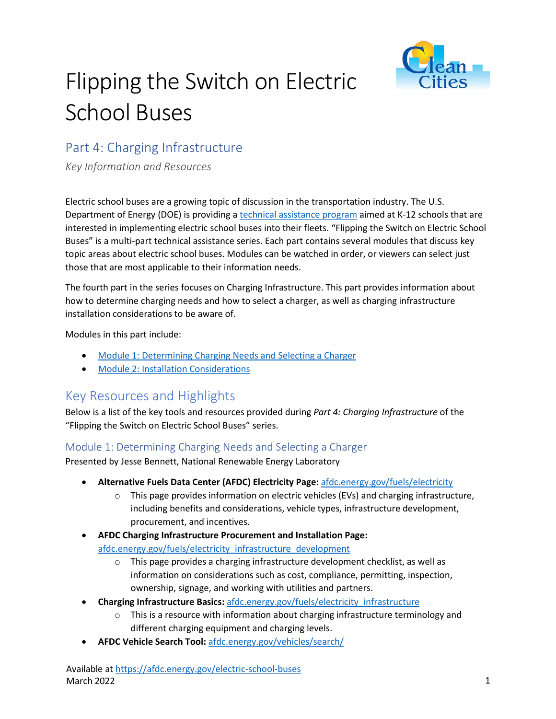

# Flipping the Switch on Electric School Buses

## Part 4: Charging Infrastructure

*Key Information and Resources*

Electric school buses are a growing topic of discussion in the transportation industry. The U.S. Department of Energy (DOE) is providing a [technical assistance program](https://afdc.energy.gov/vehicles/electric_school_buses.html) aimed at K-12 schools that are interested in implementing electric school buses into their fleets. "Flipping the Switch on Electric School Buses" is a multi-part technical assistance series. Each part contains several modules that discuss key topic areas about electric school buses. Modules can be watched in order, or viewers can select just those that are most applicable to their information needs.

The fourth part in the series focuses on Charging Infrastructure. This part provides information about how to determine charging needs and how to select a charger, as well as charging infrastructure installation considerations to be aware of.

Modules in this part include:

- [Module 1: Determining Charging Needs and](https://pfs.nrel.gov/main.html?download&weblink=f39cd3231686162e1b7c584e5d7ab887&realfilename=ESB$20Part$204-Module$201.mp4) Selecting a Charger
- [Module 2: Installation Considerations](https://pfs.nrel.gov/main.html?download&weblink=1ee9dada68c7879b6a7857113473a09d&realfilename=ESB$20Part$204-Module$202.mp4)

## Key Resources and Highlights

Below is a list of the key tools and resources provided during *Part 4: Charging Infrastructure* of the "Flipping the Switch on Electric School Buses" series.

#### Module 1: Determining Charging Needs and Selecting a Charger

Presented by Jesse Bennett, National Renewable Energy Laboratory

- **Alternative Fuels Data Center (AFDC) Electricity Page:** [afdc.energy.gov/fuels/electricity](https://afdc.energy.gov/fuels/electricity.html) 
	- $\circ$  This page provides information on electric vehicles (EVs) and charging infrastructure, including benefits and considerations, vehicle types, infrastructure development, procurement, and incentives.
- **AFDC Charging Infrastructure Procurement and Installation Page:** [afdc.energy.gov/fuels/electricity\\_infrastructure\\_development](https://afdc.energy.gov/fuels/electricity_infrastructure_development.html)
	- $\circ$  This page provides a charging infrastructure development checklist, as well as information on considerations such as cost, compliance, permitting, inspection, ownership, signage, and working with utilities and partners.
- **Charging Infrastructure Basics:** [afdc.energy.gov/fuels/electricity\\_infrastructure](https://afdc.energy.gov/fuels/electricity_infrastructure.html)
	- $\circ$  This is a resource with information about charging infrastructure terminology and different charging equipment and charging levels.
- **AFDC Vehicle Search Tool:** [afdc.energy.gov/vehicles/search/](https://afdc.energy.gov/vehicles/search/)